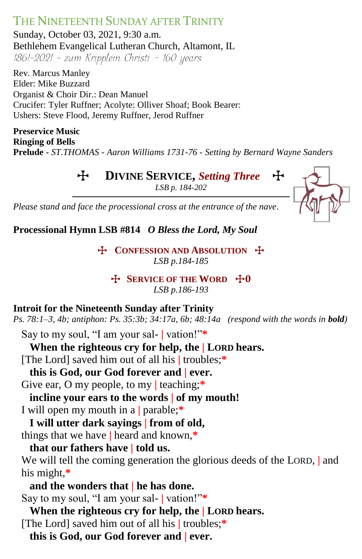THE NINETEENTH SUNDAY AFTER TRINITY Sunday, October 03, 2021, 9:30 a.m. Bethlehem Evangelical Lutheran Church, Altamont, IL<br>1861-2021 - zum Kripplein Christi - 160 years

Rev. Marcus Manley Elder: Mike Buzzard Organist & Choir Dir.: Dean Manuel Crucifer: Tyler Ruffner; Acolyte: Olliver Shoaf; Book Bearer: Ushers: Steve Flood, Jeremy Ruffner, Jerod Ruffner

**Preservice Music Ringing of Bells Prelude -** *ST.THOMAS - Aaron Williams 1731-76 - Setting by Bernard Wayne Sanders*

**H** DIVINE SERVICE, Setting Three

*LSB p. 184-202*



*Please stand and face the processional cross at the entrance of the nave.*

**Processional Hymn LSB #814** *O Bless the Lord, My Soul*

**T** CONFESSION AND ABSOLUTION **T** *LSB p.184-185*

**H** SERVICE OF THE WORD  $+0$ *LSB p.186-193*

# **Introit for the Nineteenth Sunday after Trinity**

*Ps. 78:1–3, 4b; antiphon: Ps. 35:3b; 34:17a, 6b; 48:14a (respond with the words in bold)*

Say to my soul, "I am your sal- **|** vation!"**\***

# **When the righteous cry for help, the | LORD hears.**

[The Lord] saved him out of all his **|** troubles;**\***

# **this is God, our God forever and | ever.**

Give ear, O my people, to my **|** teaching;**\***

**incline your ears to the words | of my mouth!**

I will open my mouth in a **|** parable;**\***

**I will utter dark sayings | from of old,**

things that we have **|** heard and known,**\***

# **that our fathers have | told us.**

We will tell the coming generation the glorious deeds of the LORD, **|** and his might,**\***

**and the wonders that | he has done.** Say to my soul, "I am your sal- **|** vation!"**\***

**When the righteous cry for help, the | LORD hears.** [The Lord] saved him out of all his **|** troubles;**\***

**this is God, our God forever and | ever.**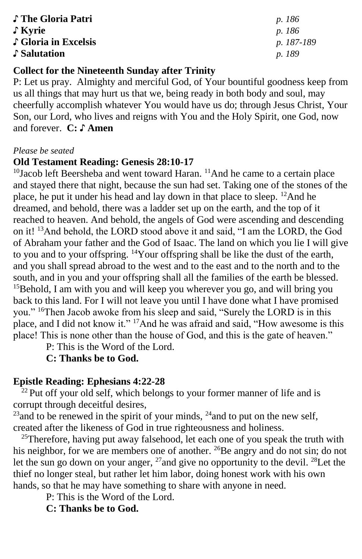| ↓ The Gloria Patri   | <i>p.</i> 186 |
|----------------------|---------------|
| $\int$ Kyrie         | <i>p.</i> 186 |
| ↓ Gloria in Excelsis | p. 187-189    |
| Salutation           | <i>p.</i> 189 |

### **Collect for the Nineteenth Sunday after Trinity**

P: Let us pray. Almighty and merciful God, of Your bountiful goodness keep from us all things that may hurt us that we, being ready in both body and soul, may cheerfully accomplish whatever You would have us do; through Jesus Christ, Your Son, our Lord, who lives and reigns with You and the Holy Spirit, one God, now and forever. **C: ♪ Amen**

#### *Please be seated*

### **Old Testament Reading: Genesis 28:10-17**

<sup>10</sup>Jacob left Beersheba and went toward Haran.<sup>11</sup>And he came to a certain place and stayed there that night, because the sun had set. Taking one of the stones of the place, he put it under his head and lay down in that place to sleep. <sup>12</sup>And he dreamed, and behold, there was a ladder set up on the earth, and the top of it reached to heaven. And behold, the angels of God were ascending and descending on it! <sup>13</sup>And behold, the LORD stood above it and said, "I am the LORD, the God of Abraham your father and the God of Isaac. The land on which you lie I will give to you and to your offspring. <sup>14</sup>Your offspring shall be like the dust of the earth, and you shall spread abroad to the west and to the east and to the north and to the south, and in you and your offspring shall all the families of the earth be blessed. <sup>15</sup>Behold, I am with you and will keep you wherever you go, and will bring you back to this land. For I will not leave you until I have done what I have promised you." <sup>16</sup>Then Jacob awoke from his sleep and said, "Surely the LORD is in this place, and I did not know it." <sup>17</sup>And he was afraid and said, "How awesome is this place! This is none other than the house of God, and this is the gate of heaven."

P: This is the Word of the Lord.

### **C: Thanks be to God.**

### **Epistle Reading: Ephesians 4:22-28**

 $^{22}$  Put off your old self, which belongs to your former manner of life and is corrupt through deceitful desires,

 $^{23}$ and to be renewed in the spirit of your minds,  $^{24}$ and to put on the new self, created after the likeness of God in true righteousness and holiness.

 $25$ Therefore, having put away falsehood, let each one of you speak the truth with his neighbor, for we are members one of another. <sup>26</sup>Be angry and do not sin; do not let the sun go down on your anger, <sup>27</sup>and give no opportunity to the devil. <sup>28</sup>Let the thief no longer steal, but rather let him labor, doing honest work with his own hands, so that he may have something to share with anyone in need.

P: This is the Word of the Lord.

**C: Thanks be to God.**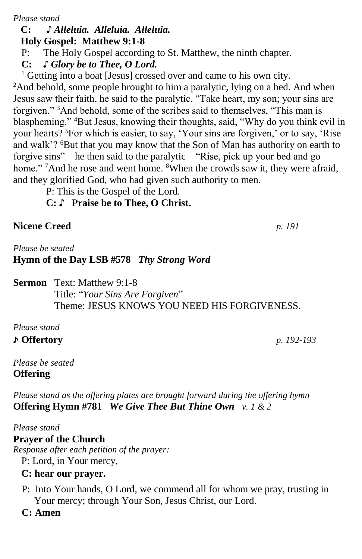*Please stand*

#### **C: ♪** *Alleluia. Alleluia. Alleluia.*  **Holy Gospel: Matthew 9:1-8**

P: The Holy Gospel according to St. Matthew, the ninth chapter.

**C:** *♪ Glory be to Thee, O Lord.*

<sup>1</sup> Getting into a boat [Jesus] crossed over and came to his own city.

<sup>2</sup>And behold, some people brought to him a paralytic, lying on a bed. And when Jesus saw their faith, he said to the paralytic, "Take heart, my son; your sins are forgiven." <sup>3</sup>And behold, some of the scribes said to themselves, "This man is blaspheming." <sup>4</sup>But Jesus, knowing their thoughts, said, "Why do you think evil in your hearts? <sup>5</sup>For which is easier, to say, 'Your sins are forgiven,' or to say, 'Rise and walk'? <sup>6</sup>But that you may know that the Son of Man has authority on earth to forgive sins"—he then said to the paralytic—"Rise, pick up your bed and go home." <sup>7</sup>And he rose and went home. <sup>8</sup>When the crowds saw it, they were afraid, and they glorified God, who had given such authority to men.

P: This is the Gospel of the Lord.

- **C:** ♪ **Praise be to Thee, O Christ.**
- **Nicene Creed** *p. 191*

*Please be seated* **Hymn of the Day LSB #578** *Thy Strong Word* 

**Sermon** Text: Matthew 9:1-8 Title: "*Your Sins Are Forgiven*" Theme: JESUS KNOWS YOU NEED HIS FORGIVENESS.

*Please stand*

# ♪ **Offertory** *p. 192-193*

*Please be seated* **Offering** 

*Please stand as the offering plates are brought forward during the offering hymn* **Offering Hymn #781** *We Give Thee But Thine Own v. 1 & 2*

### *Please stand*

### **Prayer of the Church**

*Response after each petition of the prayer:*

P: Lord, in Your mercy,

# **C: hear our prayer.**

- P: Into Your hands, O Lord, we commend all for whom we pray, trusting in Your mercy; through Your Son, Jesus Christ, our Lord.
- **C: Amen**